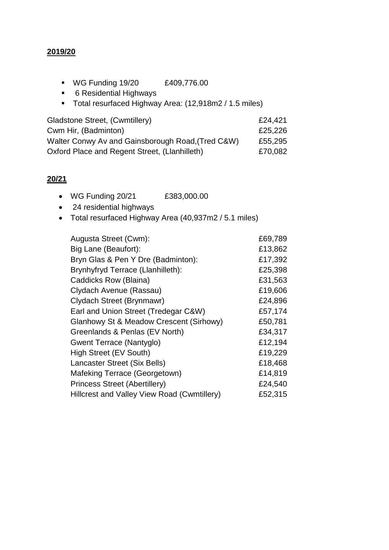## **2019/20**

- WG Funding 19/20 £409,776.00
- 6 Residential Highways
- Total resurfaced Highway Area: (12,918m2 / 1.5 miles)

| Gladstone Street, (Cwmtillery)                    | £24,421 |
|---------------------------------------------------|---------|
| Cwm Hir, (Badminton)                              | £25,226 |
| Walter Conwy Av and Gainsborough Road, (Tred C&W) | £55,295 |
| Oxford Place and Regent Street, (Llanhilleth)     | £70,082 |

## **20/21**

- WG Funding 20/21 £383,000.00
- 24 residential highways
- Total resurfaced Highway Area (40,937m2 / 5.1 miles)

| Augusta Street (Cwm):                       | £69,789 |
|---------------------------------------------|---------|
| Big Lane (Beaufort):                        | £13,862 |
| Bryn Glas & Pen Y Dre (Badminton):          | £17,392 |
| Brynhyfryd Terrace (Llanhilleth):           | £25,398 |
| Caddicks Row (Blaina)                       | £31,563 |
| Clydach Avenue (Rassau)                     | £19,606 |
| Clydach Street (Brynmawr)                   | £24,896 |
| Earl and Union Street (Tredegar C&W)        | £57,174 |
| Glanhowy St & Meadow Crescent (Sirhowy)     | £50,781 |
| Greenlands & Penlas (EV North)              | £34,317 |
| Gwent Terrace (Nantyglo)                    | £12,194 |
| High Street (EV South)                      | £19,229 |
| Lancaster Street (Six Bells)                | £18,468 |
| Mafeking Terrace (Georgetown)               | £14,819 |
| <b>Princess Street (Abertillery)</b>        | £24,540 |
| Hillcrest and Valley View Road (Cwmtillery) | £52,315 |